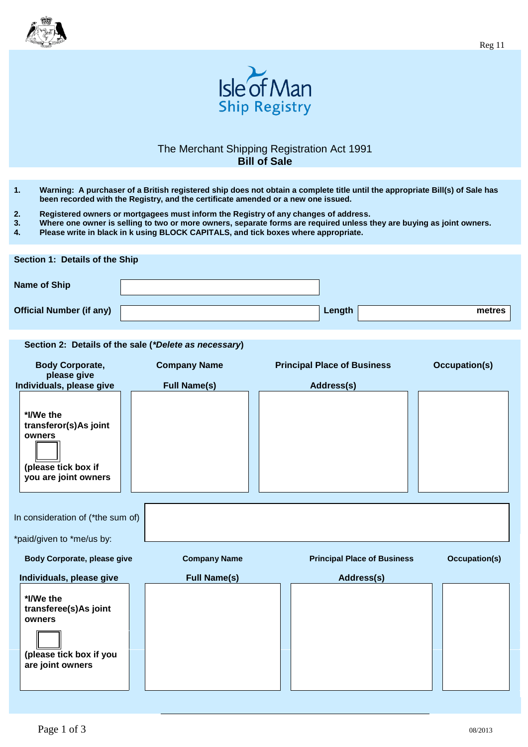



## The Merchant Shipping Registration Act 1991 **Bill of Sale**

- **1. Warning: A purchaser of a British registered ship does not obtain a complete title until the appropriate Bill(s) of Sale has been recorded with the Registry, and the certificate amended or a new one issued.**
- 
- **2. Registered owners or mortgagees must inform the Registry of any changes of address. 3. Where one owner is selling to two or more owners, separate forms are required unless they are buying as joint owners.**
- **4. Please write in black in k using BLOCK CAPITALS, and tick boxes where appropriate.**

| Section 1: Details of the Ship  |  |        |        |  |
|---------------------------------|--|--------|--------|--|
| Name of Ship                    |  |        |        |  |
| <b>Official Number (if any)</b> |  | Length | metres |  |

## **Section 2: Details of the sale (***\*Delete as necessary***)**

| <b>Body Corporate,</b><br>please give                                                       | <b>Company Name</b> | <b>Principal Place of Business</b> | <b>Occupation(s)</b> |
|---------------------------------------------------------------------------------------------|---------------------|------------------------------------|----------------------|
| Individuals, please give                                                                    | <b>Full Name(s)</b> | Address(s)                         |                      |
| *I/We the<br>transferor(s)As joint<br>owners<br>(please tick box if<br>you are joint owners |                     |                                    |                      |
| In consideration of (*the sum of)                                                           |                     |                                    |                      |
|                                                                                             |                     |                                    |                      |
| *paid/given to *me/us by:                                                                   |                     |                                    |                      |
| <b>Body Corporate, please give</b>                                                          | <b>Company Name</b> | <b>Principal Place of Business</b> | <b>Occupation(s)</b> |
| Individuals, please give                                                                    | <b>Full Name(s)</b> | Address(s)                         |                      |
| *I/We the<br>transferee(s)As joint<br>owners<br>(please tick box if you<br>are joint owners |                     |                                    |                      |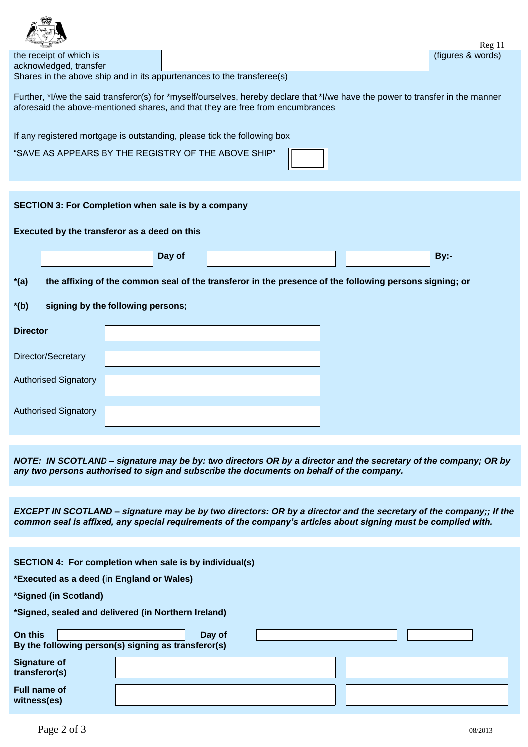| LES STATES                                                                                                                      |  | $\text{Reg } 11$  |  |  |  |
|---------------------------------------------------------------------------------------------------------------------------------|--|-------------------|--|--|--|
| the receipt of which is                                                                                                         |  | (figures & words) |  |  |  |
| acknowledged, transfer                                                                                                          |  |                   |  |  |  |
| Shares in the above ship and in its appurtenances to the transferee(s)                                                          |  |                   |  |  |  |
|                                                                                                                                 |  |                   |  |  |  |
| Further, *I/we the said transferor(s) for *myself/ourselves, hereby declare that *I/we have the power to transfer in the manner |  |                   |  |  |  |
| aforesaid the above-mentioned shares, and that they are free from encumbrances                                                  |  |                   |  |  |  |

| If any registered mortgage is outstanding, please tick the following box |                                                            |  |        |                                                     |  |                                                                                                        |      |  |
|--------------------------------------------------------------------------|------------------------------------------------------------|--|--------|-----------------------------------------------------|--|--------------------------------------------------------------------------------------------------------|------|--|
|                                                                          |                                                            |  |        | "SAVE AS APPEARS BY THE REGISTRY OF THE ABOVE SHIP" |  |                                                                                                        |      |  |
|                                                                          |                                                            |  |        |                                                     |  |                                                                                                        |      |  |
|                                                                          | <b>SECTION 3: For Completion when sale is by a company</b> |  |        |                                                     |  |                                                                                                        |      |  |
|                                                                          |                                                            |  |        |                                                     |  |                                                                                                        |      |  |
|                                                                          | Executed by the transferor as a deed on this               |  |        |                                                     |  |                                                                                                        |      |  |
|                                                                          |                                                            |  |        |                                                     |  |                                                                                                        |      |  |
|                                                                          |                                                            |  | Day of |                                                     |  |                                                                                                        | By:- |  |
| $*(a)$                                                                   |                                                            |  |        |                                                     |  | the affixing of the common seal of the transferor in the presence of the following persons signing; or |      |  |
| signing by the following persons;<br>$*(b)$                              |                                                            |  |        |                                                     |  |                                                                                                        |      |  |
| <b>Director</b>                                                          |                                                            |  |        |                                                     |  |                                                                                                        |      |  |
|                                                                          | Director/Secretary                                         |  |        |                                                     |  |                                                                                                        |      |  |
|                                                                          | <b>Authorised Signatory</b>                                |  |        |                                                     |  |                                                                                                        |      |  |
|                                                                          | <b>Authorised Signatory</b>                                |  |        |                                                     |  |                                                                                                        |      |  |

*NOTE: IN SCOTLAND – signature may be by: two directors OR by a director and the secretary of the company; OR by any two persons authorised to sign and subscribe the documents on behalf of the company.*

*EXCEPT IN SCOTLAND – signature may be by two directors: OR by a director and the secretary of the company;; If the common seal is affixed, any special requirements of the company's articles about signing must be complied with.*

| SECTION 4: For completion when sale is by individual(s) |                                                               |  |  |  |  |
|---------------------------------------------------------|---------------------------------------------------------------|--|--|--|--|
| *Executed as a deed (in England or Wales)               |                                                               |  |  |  |  |
| *Signed (in Scotland)                                   |                                                               |  |  |  |  |
| *Signed, sealed and delivered (in Northern Ireland)     |                                                               |  |  |  |  |
| On this                                                 | Day of<br>By the following person(s) signing as transferor(s) |  |  |  |  |
| <b>Signature of</b><br>transferor(s)                    |                                                               |  |  |  |  |
| Full name of<br>witness(es)                             |                                                               |  |  |  |  |
|                                                         |                                                               |  |  |  |  |